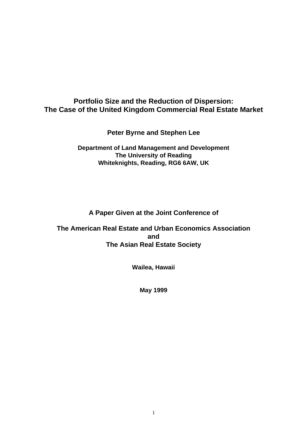# **Portfolio Size and the Reduction of Dispersion: The Case of the United Kingdom Commercial Real Estate Market**

**Peter Byrne and Stephen Lee**

**Department of Land Management and Development The University of Reading Whiteknights, Reading, RG6 6AW, UK**

**A Paper Given at the Joint Conference of**

**The American Real Estate and Urban Economics Association and The Asian Real Estate Society**

**Wailea, Hawaii**

**May 1999**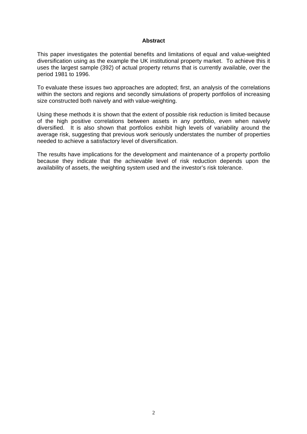#### **Abstract**

This paper investigates the potential benefits and limitations of equal and value-weighted diversification using as the example the UK institutional property market. To achieve this it uses the largest sample (392) of actual property returns that is currently available, over the period 1981 to 1996.

To evaluate these issues two approaches are adopted; first, an analysis of the correlations within the sectors and regions and secondly simulations of property portfolios of increasing size constructed both naively and with value-weighting.

Using these methods it is shown that the extent of possible risk reduction is limited because of the high positive correlations between assets in any portfolio, even when naively diversified. It is also shown that portfolios exhibit high levels of variability around the average risk, suggesting that previous work seriously understates the number of properties needed to achieve a satisfactory level of diversification.

The results have implications for the development and maintenance of a property portfolio because they indicate that the achievable level of risk reduction depends upon the availability of assets, the weighting system used and the investor's risk tolerance.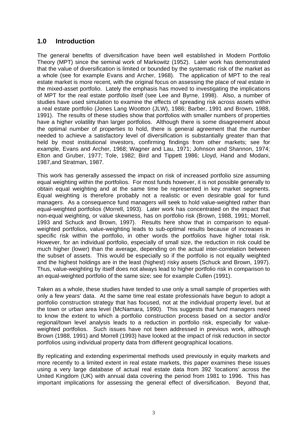## **1.0 Introduction**

The general benefits of diversification have been well established in Modern Portfolio Theory (MPT) since the seminal work of Markowitz (1952). Later work has demonstrated that the value of diversification is limited or bounded by the systematic risk of the market as a whole (see for example Evans and Archer, 1968). The application of MPT to the real estate market is more recent, with the original focus on assessing the place of real estate in the mixed-asset portfolio. Lately the emphasis has moved to investigating the implications of MPT for the real estate portfolio itself (see Lee and Byrne, 1998). Also, a number of studies have used simulation to examine the effects of spreading risk across assets within a real estate portfolio (Jones Lang Wootton (JLW), 1986; Barber, 1991 and Brown, 1988, 1991). The results of these studies show that portfolios with smaller numbers of properties have a higher volatility than larger portfolios. Although there is some disagreement about the optimal number of properties to hold, there is general agreement that the number needed to achieve a satisfactory level of diversification is substantially greater than that held by most institutional investors, confirming findings from other markets; see for example, Evans and Archer, 1968; Wagner and Lau, 1971; Johnson and Shannon, 1974; Elton and Gruber, 1977; Tole, 1982; Bird and Tippett 1986; Lloyd, Hand and Modani, 1987,and Stratman, 1987.

This work has generally assessed the impact on risk of increased portfolio size assuming equal weighting within the portfolios. For most funds however, it is not possible generally to obtain equal weighting and at the same time be represented in key market segments. Equal weighting is therefore probably not a realistic or even desirable goal for fund managers. As a consequence fund managers will seek to hold value-weighted rather than equal-weighted portfolios (Morrell, 1993). Later work has concentrated on the impact that non-equal weighting, or value skewness, has on portfolio risk (Brown, 1988, 1991; Morrell, 1993 and Schuck and Brown, 1997). Results here show that in comparison to equalweighted portfolios, value-weighting leads to sub-optimal results because of increases in specific risk within the portfolio, in other words the portfolios have higher total risk. However, for an individual portfolio, especially of small size, the reduction in risk could be much higher (lower) than the average, depending on the actual inter-correlation between the subset of assets. This would be especially so if the portfolio is not equally weighted and the highest holdings are in the least (highest) risky assets (Schuck and Brown, 1997). Thus, value-weighting by itself does not always lead to higher portfolio risk in comparison to an equal-weighted portfolio of the same size; see for example Cullen (1991).

Taken as a whole, these studies have tended to use only a small sample of properties with only a few years' data. At the same time real estate professionals have begun to adopt a portfolio construction strategy that has focused, not at the individual property level, but at the town or urban area level (McNamara, 1990). This suggests that fund managers need to know the extent to which a portfolio construction process based on a sector and/or regional/town level analysis leads to a reduction in portfolio risk, especially for valueweighted portfolios. Such issues have not been addressed in previous work, although Brown (1988, 1991) and Morrell (1993) have looked at the impact of risk reduction in sector portfolios using individual property data from different geographical locations.

By replicating and extending experimental methods used previously in equity markets and more recently to a limited extent in real estate markets, this paper examines these issues using a very large database of actual real estate data from 392 'locations' across the United Kingdom (UK) with annual data covering the period from 1981 to 1996. This has important implications for assessing the general effect of diversification. Beyond that,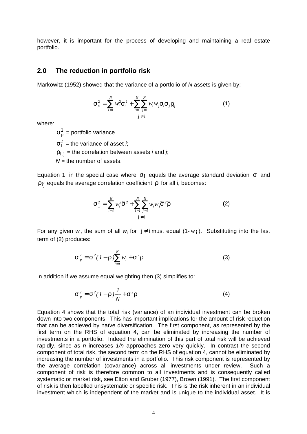however, it is important for the process of developing and maintaining a real estate portfolio.

### **2.0 The reduction in portfolio risk**

Markowitz (1952) showed that the variance of a portfolio of *N* assets is given by:

$$
S_{p}^{2} = \sum_{i=1}^{N} w_{i}^{2} S_{i}^{2} + \sum_{i=1}^{N} \sum_{j=1}^{N} w_{i} w_{j} S_{i} S_{j} \Gamma_{ij}
$$
(1)

where:

 $\sigma^2_\mathrm{p}$  = portfolio variance  $\sigma_i^2$  = the variance of asset *i*;  $\rho_{i,j}$  = the correlation between assets *i* and *j*; *N* = the number of assets.

Equation 1, in the special case where  $\sigma_{\rm i}$  equals the average standard deviation  $\bar{\sigma}$  and  $p_{ii}$  equals the average correlation coefficient  $\bar{\rho}$  for all i, becomes:

$$
S_{p}^{2} = \sum_{i=1}^{N} w_{i}^{2} \overline{S}^{2} + \sum_{i=1}^{N} \sum_{j=1}^{N} w_{i} w_{j} \overline{S}^{2} \overline{\Gamma}
$$
 (2)

For any given  $w_i$ , the sum of all  $w_j$  for  $j \neq i$  must equal  $(1-w_i)$ . Substituting into the last term of (2) produces:

$$
S_{p}^{2} = \overline{S}^{2} (1 - \overline{\Gamma}) \sum_{i=1}^{N} w_{i} + \overline{S}^{2} \overline{\Gamma}
$$
 (3)

In addition if we assume equal weighting then (3) simplifies to:

$$
S_p^2 = \overline{S}^2 (1 - \overline{r}) \frac{1}{N} + \overline{S}^2 \overline{r}
$$
 (4)

Equation 4 shows that the total risk (variance) of an individual investment can be broken down into two components. This has important implications for the amount of risk reduction that can be achieved by naïve diversification. The first component, as represented by the first term on the RHS of equation 4, can be eliminated by increasing the number of investments in a portfolio. Indeed the elimination of this part of total risk will be achieved rapidly, since as *n* increases *1/n* approaches zero very quickly. In contrast the second component of total risk, the second term on the RHS of equation 4, cannot be eliminated by increasing the number of investments in a portfolio. This risk component is represented by the average correlation (covariance) across all investments under review. Such a component of risk is therefore common to all investments and is consequently called systematic or market risk, see Elton and Gruber (1977), Brown (1991). The first component of risk is then labelled unsystematic or specific risk. This is the risk inherent in an individual investment which is independent of the market and is unique to the individual asset. It is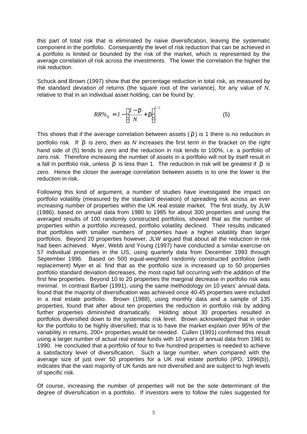this part of total risk that is eliminated by naive diversification, leaving the systematic component in the portfolio. Consequently the level of risk reduction that can be achieved in a portfolio is limited or bounded by the risk of the market, which is represented by the average correlation of risk across the investments. The lower the correlation the higher the risk reduction.

Schuck and Brown (1997) show that the percentage reduction in total risk, as measured by the standard deviation of returns (the square root of the variance), for any value of *N*, relative to that in an individual asset holding, can be found by:

$$
RR\%_{N} = I - \left[\frac{I - \overline{\Gamma}}{N} + \overline{\Gamma}\right]^{1/2}
$$
 (5)

This shows that if the average correlation between assets ( $\overline{\rho}$ ) is 1 there is no reduction in portfolio risk. If  $\bar{\rho}$  is zero, then as *N* increases the first term in the bracket on the right hand side of (5) tends to zero and the reduction in risk tends to 100%, i.e. a portfolio of zero risk. Therefore increasing the number of assets in a portfolio will not by itself result in a fall in portfolio risk, unless  $\bar{\rho}$  is less than 1. The reduction in risk will be greatest if  $\bar{\rho}$  is zero. Hence the closer the average correlation between assets is to one the lower is the reduction in risk.

Following this kind of argument, a number of studies have investigated the impact on portfolio volatility (measured by the standard deviation) of spreading risk across an ever increasing number of properties within the UK real estate market. The first study, by JLW (1986), based on annual data from 1980 to 1985 for about 300 properties and using the averaged results of 100 randomly constructed portfolios, showed that as the number of properties within a portfolio increased, portfolio volatility declined. Their results indicated that portfolios with smaller numbers of properties have a higher volatility than larger portfolios. Beyond 20 properties however, JLW argued that about all the reduction in risk had been achieved. Myer, Webb and Young (1997) have conducted a similar exercise on 57 individual properties in the US, using quarterly data from December 1993 through September 1996. Based on 500 equal-weighted randomly constructed portfolios (with replacement) Myer et al. find that as the portfolio size is increased up to 50 properties portfolio standard deviation decreases, the most rapid fall occurring with the addition of the first few properties. Beyond 10 to 20 properties the marginal decrease in portfolio risk was minimal. In contrast Barber (1991), using the same methodology on 10 years' annual data, found that the majority of diversification was achieved once 40-45 properties were included in a real estate portfolio. Brown (1988), using monthly data and a sample of 135 properties, found that after about ten properties the reduction in portfolio risk by adding further properties diminished dramatically. Holding about 30 properties resulted in portfolios diversified down to the systematic risk level. Brown acknowledged that in order for the portfolio to be highly diversified, that is to have the market explain over 95% of the variability in returns, 200+ properties would be needed. Cullen (1991) confirmed this result using a larger number of actual real estate funds with 10 years of annual data from 1981 to 1990. He concluded that a portfolio of four to five hundred properties is needed to achieve a satisfactory level of diversification. Such a large number, when compared with the average size of just over 50 properties for a UK real estate portfolio (IPD, 1996(b)), indicates that the vast majority of UK funds are not diversified and are subject to high levels of specific risk.

Of course, increasing the number of properties will not be the sole determinant of the degree of diversification in a portfolio. If investors were to follow the rules suggested for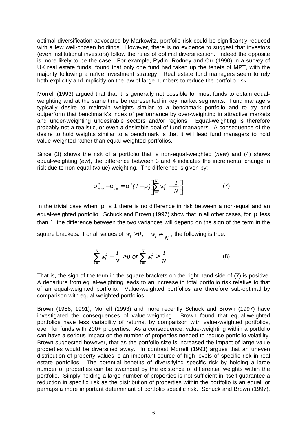optimal diversification advocated by Markowitz, portfolio risk could be significantly reduced with a few well-chosen holdings. However, there is no evidence to suggest that investors (even institutional investors) follow the rules of optimal diversification. Indeed the opposite is more likely to be the case. For example, Rydin, Rodney and Orr (1990) in a survey of UK real estate funds, found that only one fund had taken up the tenets of MPT, with the majority following a naïve investment strategy. Real estate fund managers seem to rely both explicitly and implicitly on the law of large numbers to reduce the portfolio risk.

Morrell (1993) argued that that it is generally not possible for most funds to obtain equalweighting and at the same time be represented in key market segments. Fund managers typically desire to maintain weights similar to a benchmark portfolio and to try and outperform that benchmark's index of performance by over-weighting in attractive markets and under-weighting undesirable sectors and/or regions. Equal-weighting is therefore probably not a realistic, or even a desirable goal of fund managers. A consequence of the desire to hold weights similar to a benchmark is that it will lead fund managers to hold value-weighted rather than equal-weighted portfolios.

Since (3) shows the risk of a portfolio that is non-equal-weighted (*new*) and (4) shows equal-weighting (*ew*), the difference between 3 and 4 indicates the incremental change in risk due to non-equal (value) weighting. The difference is given by:

$$
S_{\text{new}}^2 - S_{\text{ew}}^2 = \overline{S}^2 (I - \overline{\Gamma}) \left[ \sum_{i=1}^N w_i^2 - \frac{I}{N} \right]
$$
 (7)

In the trivial case when  $\bar{\rho}$  is 1 there is no difference in risk between a non-equal and an equal-weighted portfolio. Schuck and Brown (1997) show that in all other cases, for  $\overline{\rho}$  less than 1, the difference between the two variances will depend on the sign of the term in the square brackets. For all values of  $w_i > 0$ ,  $w_i \neq \frac{1}{N}$ 1 *,* the following is true:

$$
\sum_{i=1}^{N} w_i^2 - \frac{1}{N} > 0 \text{ or } \sum_{i=1}^{N} w_i^2 > \frac{1}{N}
$$
 (8)

That is, the sign of the term in the square brackets on the right hand side of (7) is positive. A departure from equal-weighting leads to an increase in total portfolio risk relative to that of an equal-weighted portfolio. Value-weighted portfolios are therefore sub-optimal by comparison with equal-weighted portfolios.

Brown (1988, 1991), Morrell (1993) and more recently Schuck and Brown (1997) have investigated the consequences of value-weighting. Brown found that equal-weighted portfolios have less variability of returns, by comparison with value-weighted portfolios, even for funds with 200+ properties. As a consequence, value-weighting within a portfolio can have a serious impact on the number of properties needed to reduce portfolio volatility. Brown suggested however, that as the portfolio size is increased the impact of large value properties would be diversified away. In contrast Morrell (1993) argues that an uneven distribution of property values is an important source of high levels of specific risk in real estate portfolios. The potential benefits of diversifying specific risk by holding a large number of properties can be swamped by the existence of differential weights within the portfolio. Simply holding a large number of properties is not sufficient in itself guarantee a reduction in specific risk as the distribution of properties within the portfolio is an equal, or perhaps a more important determinant of portfolio specific risk. Schuck and Brown (1997),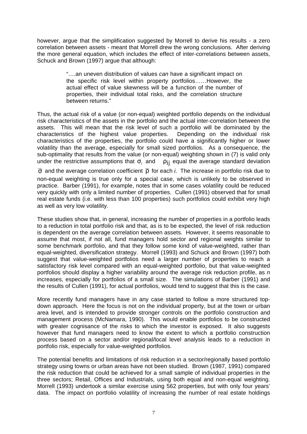however, argue that the simplification suggested by Morrell to derive his results - a zero correlation between assets - meant that Morrell drew the wrong conclusions. After deriving the more general equation, which includes the effect of inter-correlations between assets, Schuck and Brown (1997) argue that although:

> "….an uneven distribution of values *can* have a significant impact on the specific risk level within property portfolios……However, the actual effect of value skewness will be a function of the number of properties, their individual total risks, and the correlation structure between returns."

Thus, the actual risk of a value (or non-equal) weighted portfolio depends on the individual risk characteristics of the assets in the portfolio and the actual inter-correlation between the assets. This will mean that the risk level of such a portfolio will be dominated by the characteristics of the highest value properties. Depending on the individual risk characteristics of the properties, the portfolio could have a significantly higher or lower volatility than the average, especially for small sized portfolios. As a consequence, the sub-optimality that results from the value (or non-equal) weighting shown in (7) is valid only under the restrictive assumptions that *s* and  $p_{ii}$  equal the average standard deviation

 $\overline{\sigma}$  and the average correlation coefficient  $\overline{\rho}$  for each *i*. The increase in portfolio risk due to non-equal weighting is true only for a special case, which is unlikely to be observed in practice. Barber (1991), for example, notes that in some cases volatility could be reduced very quickly with only a limited number of properties. Cullen (1991) observed that for small real estate funds (i.e. with less than 100 properties) such portfolios could exhibit very high as well as very low volatility.

These studies show that, in general, increasing the number of properties in a portfolio leads to a reduction in total portfolio risk and that, as is to be expected, the level of risk reduction is dependent on the average correlation between assets. However, it seems reasonable to assume that most, if not all, fund managers hold sector and regional weights similar to some benchmark portfolio, and that they follow some kind of value-weighted, rather than equal-weighted, diversification strategy. Morrell (1993) and Schuck and Brown (1997) both suggest that value-weighted portfolios need a larger number of properties to reach a satisfactory risk level compared with an equal-weighted portfolio, but that value-weighted portfolios should display a higher variability around the average risk reduction profile, as *n* increases, especially for portfolios of a small size. The simulations of Barber (1991) and the results of Cullen (1991), for actual portfolios, would tend to suggest that this is the case.

More recently fund managers have in any case started to follow a more structured topdown approach. Here the focus is not on the individual property, but at the town or urban area level, and is intended to provide stronger controls on the portfolio construction and management process (McNamara, 1990). This would enable portfolios to be constructed with greater cognisance of the risks to which the investor is exposed. It also suggests however that fund managers need to know the extent to which a portfolio construction process based on a sector and/or regional/local level analysis leads to a reduction in portfolio risk, especially for value-weighted portfolios.

The potential benefits and limitations of risk reduction in a sector/regionally based portfolio strategy using towns or urban areas have not been studied. Brown (1987, 1991) compared the risk reduction that could be achieved for a small sample of individual properties in the three sectors; Retail, Offices and Industrials, using both equal and non-equal weighting. Morrell (1993) undertook a similar exercise using 562 properties, but with only four years' data. The impact on portfolio volatility of increasing the number of real estate holdings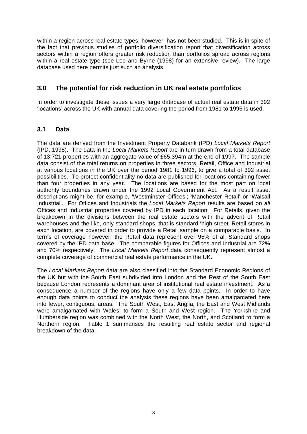within a region across real estate types, however, has not been studied. This is in spite of the fact that previous studies of portfolio diversification report that diversification across sectors within a region offers greater risk reduction than portfolios spread across regions within a real estate type (see Lee and Byrne (1998) for an extensive review). The large database used here permits just such an analysis.

# **3.0 The potential for risk reduction in UK real estate portfolios**

In order to investigate these issues a very large database of actual real estate data in 392 'locations' across the UK with annual data covering the period from 1981 to 1996 is used.

### **3.1 Data**

The data are derived from the Investment Property Databank (IPD) *Local Markets Report* (IPD, 1998). The data in the *Local Markets Report* are in turn drawn from a total database of 13,721 properties with an aggregate value of £65,394m at the end of 1997. The sample data consist of the total returns on properties in three sectors, Retail, Office and Industrial at various locations in the UK over the period 1981 to 1996, to give a total of 392 asset possibilities. To protect confidentiality no data are published for locations containing fewer than four properties in any year. The locations are based for the most part on local authority boundaries drawn under the 1992 Local Government Act. As a result asset descriptions might be, for example, 'Westminster Offices'; 'Manchester Retail' or 'Walsall Industrial'. For Offices and Industrials the *Local Markets Report* results are based on *all* Offices and Industrial properties covered by IPD in each location. For Retails, given the breakdown in the divisions between the real estate sectors with the advent of Retail warehouses and the like, only standard shops, that is standard 'high street' Retail stores in each location, are covered in order to provide a Retail sample on a comparable basis. In terms of coverage however, the Retail data represent over 95% of all Standard shops covered by the IPD data base. The comparable figures for Offices and Industrial are 72% and 70% respectively. The *Local Markets Report* data consequently represent almost a complete coverage of commercial real estate performance in the UK.

The *Local Markets Report* data are also classified into the Standard Economic Regions of the UK but with the South East subdivided into London and the Rest of the South East because London represents a dominant area of institutional real estate investment. As a consequence a number of the regions have only a few data points. In order to have enough data points to conduct the analysis these regions have been amalgamated here into fewer, contiguous, areas. The South West, East Anglia, the East and West Midlands were amalgamated with Wales, to form a South and West region. The Yorkshire and Humberside region was combined with the North West, the North, and Scotland to form a Northern region. Table 1 summarises the resulting real estate sector and regional breakdown of the data.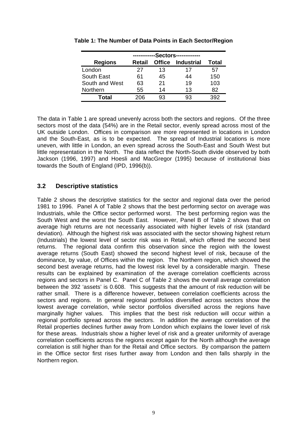|                | -Sectors---- |               |                   |       |  |  |  |  |
|----------------|--------------|---------------|-------------------|-------|--|--|--|--|
| <b>Regions</b> | Retail       | <b>Office</b> | <b>Industrial</b> | Total |  |  |  |  |
| London         | 27           | 13            | 17                | 57    |  |  |  |  |
| South East     | 61           | 45            | 44                | 150   |  |  |  |  |
| South and West | 63           | 21            | 19                | 103   |  |  |  |  |
| Northern       | 55           | 14            | 13                | 82    |  |  |  |  |
| Total          | ንበፍ          | 93            | 93                |       |  |  |  |  |

**Table 1: The Number of Data Points in Each Sector/Region**

The data in Table 1 are spread unevenly across both the sectors and regions. Of the three sectors most of the data (54%) are in the Retail sector, evenly spread across most of the UK outside London. Offices in comparison are more represented in locations in London and the South-East, as is to be expected. The spread of Industrial locations is more uneven, with little in London, an even spread across the South-East and South West but little representation in the North. The data reflect the North-South divide observed by both Jackson (1996, 1997) and Hoesli and MacGregor (1995) because of institutional bias towards the South of England (IPD, 1996(b)).

## **3.2 Descriptive statistics**

Table 2 shows the descriptive statistics for the sector and regional data over the period 1981 to 1996. Panel A of Table 2 shows that the best performing sector on average was Industrials, while the Office sector performed worst. The best performing region was the South West and the worst the South East. However, Panel B of Table 2 shows that on average high returns are not necessarily associated with higher levels of risk (standard deviation). Although the highest risk was associated with the sector showing highest return (Industrials) the lowest level of sector risk was in Retail, which offered the second best returns. The regional data confirm this observation since the region with the lowest average returns (South East) showed the second highest level of risk, because of the dominance, by value, of Offices within the region. The Northern region, which showed the second best average returns, had the lowest risk level by a considerable margin. These results can be explained by examination of the average correlation coefficients across regions and sectors in Panel C. Panel C of Table 2 shows the overall average correlation between the 392 'assets' is 0.608. This suggests that the amount of risk reduction will be rather small. There is a difference however, between correlation coefficients across the sectors and regions. In general regional portfolios diversified across sectors show the lowest average correlation, while sector portfolios diversified across the regions have marginally higher values. This implies that the best risk reduction will occur within a regional portfolio spread across the sectors. In addition the average correlation of the Retail properties declines further away from London which explains the lower level of risk for these areas. Industrials show a higher level of risk and a greater uniformity of average correlation coefficients across the regions except again for the North although the average correlation is still higher than for the Retail and Office sectors. By comparison the pattern in the Office sector first rises further away from London and then falls sharply in the Northern region.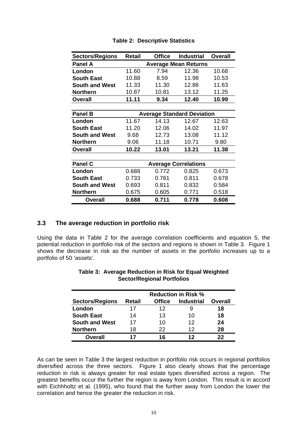| <b>Sectors/Regions</b> | <b>Retail</b>                     | <b>Office</b> | <b>Industrial</b>           | Overall |  |  |  |  |
|------------------------|-----------------------------------|---------------|-----------------------------|---------|--|--|--|--|
| <b>Panel A</b>         |                                   |               | <b>Average Mean Returns</b> |         |  |  |  |  |
| London                 | 11.60                             | 7.94          | 12.36                       | 10.68   |  |  |  |  |
| <b>South East</b>      | 10.88                             | 8.59          | 11.98                       | 10.53   |  |  |  |  |
| <b>South and West</b>  | 11.33                             | 11.30         | 12.86                       | 11.63   |  |  |  |  |
| <b>Northern</b>        | 10.87                             | 10.81         | 13.12                       | 11.25   |  |  |  |  |
| <b>Overall</b>         | 11.11                             | 9.34          | 12.40                       | 10.99   |  |  |  |  |
|                        |                                   |               |                             |         |  |  |  |  |
| <b>Panel B</b>         | <b>Average Standard Deviation</b> |               |                             |         |  |  |  |  |
| London                 | 11.67                             | 14.13         | 12.67                       | 12.63   |  |  |  |  |
| <b>South East</b>      | 11.20                             | 12.06         | 14.02                       | 11.97   |  |  |  |  |
| <b>South and West</b>  | 9.68                              | 12.73         | 13.08                       | 11.12   |  |  |  |  |
| <b>Northern</b>        | 9.06                              | 11.18         | 10.71                       | 9.80    |  |  |  |  |
| <b>Overall</b>         | 10.22                             | 13.01         | 13.21                       | 11.38   |  |  |  |  |
|                        |                                   |               |                             |         |  |  |  |  |
| <b>Panel C</b>         |                                   |               | <b>Average Correlations</b> |         |  |  |  |  |
| London                 | 0.688                             | 0.772         | 0.825                       | 0.673   |  |  |  |  |
| <b>South East</b>      | 0.733                             | 0.761         | 0.811                       | 0.678   |  |  |  |  |
| <b>South and West</b>  | 0.693                             | 0.811         | 0.832                       | 0.584   |  |  |  |  |
| <b>Northern</b>        | 0.675                             | 0.605         | 0.771                       | 0.518   |  |  |  |  |
| Overall                | 0.688                             | 0.711         | 0.778                       | 0.608   |  |  |  |  |

#### **Table 2: Descriptive Statistics**

### **3.3 The average reduction in portfolio risk**

Using the data in Table 2 for the average correlation coefficients and equation 5, the potential reduction in portfolio risk of the sectors and regions is shown in Table 3. Figure 1 shows the decrease in risk as the number of assets in the portfolio increases up to a portfolio of 50 'assets'.

|                        | <b>Reduction in Risk %</b> |               |                   |         |  |  |  |  |
|------------------------|----------------------------|---------------|-------------------|---------|--|--|--|--|
| <b>Sectors/Regions</b> | <b>Retail</b>              | <b>Office</b> | <b>Industrial</b> | Overall |  |  |  |  |
| London                 | 17                         | 12            | y                 | 18      |  |  |  |  |
| <b>South East</b>      | 14                         | 13            | 10                | 18      |  |  |  |  |
| <b>South and West</b>  | 17                         | 10            | 12                | 24      |  |  |  |  |
| <b>Northern</b>        | 18                         | 22            | 12                | 28      |  |  |  |  |
| <b>Overall</b>         | 17                         | 16            | 12                | つつ      |  |  |  |  |

#### **Table 3: Average Reduction in Risk for Equal Weighted Sector/Regional Portfolios**

As can be seen in Table 3 the largest reduction in portfolio risk occurs in regional portfolios diversified across the three sectors. Figure 1 also clearly shows that the percentage reduction in risk is always greater for real estate types diversified across a region. The greatest benefits occur the further the region is away from London. This result is in accord with Eichhholtz et al. (1995), who found that the further away from London the lower the correlation and hence the greater the reduction in risk.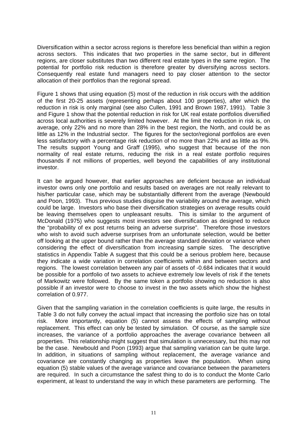Diversification within a sector across regions is therefore less beneficial than within a region across sectors. This indicates that two properties in the same sector, but in different regions, are closer substitutes than two different real estate types in the same region. The potential for portfolio risk reduction is therefore greater by diversifying across sectors. Consequently real estate fund managers need to pay closer attention to the sector allocation of their portfolios than the regional spread.

Figure 1 shows that using equation (5) most of the reduction in risk occurs with the addition of the first 20-25 assets (representing perhaps about 100 properties), after which the reduction in risk is only marginal (see also Cullen, 1991 and Brown 1987, 1991). Table 3 and Figure 1 show that the potential reduction in risk for UK real estate portfolios diversified across local authorities is severely limited however. At the limit the reduction in risk is, on average, only 22% and no more than 28% in the best region, the North, and could be as little as 12% in the Industrial sector. The figures for the sector/regional portfolios are even less satisfactory with a percentage risk reduction of no more than 22% and as little as 9%. The results support Young and Graff (1995), who suggest that because of the non normality of real estate returns, reducing the risk in a real estate portfolio requires thousands if not millions of properties, well beyond the capabilities of any institutional investor.

It can be argued however, that earlier approaches are deficient because an individual investor owns only one portfolio and results based on averages are not really relevant to his/her particular case, which may be substantially different from the average (Newbould and Poon, 1993). Thus previous studies disguise the variability around the average, which could be large. Investors who base their diversification strategies on average results could be leaving themselves open to unpleasant results. This is similar to the argument of McDonald (1975) who suggests most investors see diversification as designed to reduce the "probability of ex post returns being an adverse surprise". Therefore those investors who wish to avoid such adverse surprises from an unfortunate selection, would be better off looking at the upper bound rather than the average standard deviation or variance when considering the effect of diversification from increasing sample sizes. The descriptive statistics in Appendix Table A suggest that this could be a serious problem here, because they indicate a wide variation in correlation coefficients within and between sectors and regions. The lowest correlation between any pair of assets of -0.684 indicates that it would be possible for a portfolio of two assets to achieve extremely low levels of risk if the tenets of Markowitz were followed. By the same token a portfolio showing no reduction is also possible if an investor were to choose to invest in the two assets which show the highest correlation of 0.977.

Given that the sampling variation in the correlation coefficients is quite large, the results in Table 3 do not fully convey the actual impact that increasing the portfolio size has on total risk. More importantly, equation (5) cannot assess the effects of sampling without replacement. This effect can only be tested by simulation. Of course, as the sample size increases, the variance of a portfolio approaches the average covariance between all properties. This relationship might suggest that simulation is unnecessary, but this may not be the case. Newbould and Poon (1993) argue that sampling variation can be quite large. In addition, in situations of sampling without replacement, the average variance and covariance are constantly changing as properties leave the population. When using equation (5) stable values of the average variance and covariance between the parameters are required. In such a circumstance the safest thing to do is to conduct the Monte Carlo experiment, at least to understand the way in which these parameters are performing. The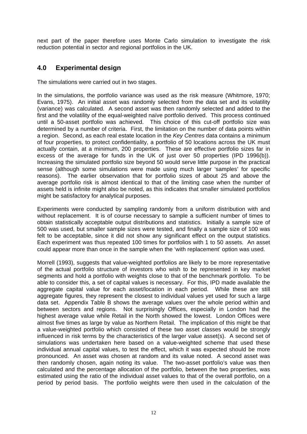next part of the paper therefore uses Monte Carlo simulation to investigate the risk reduction potential in sector and regional portfolios in the UK.

# **4.0 Experimental design**

The simulations were carried out in two stages.

In the simulations, the portfolio variance was used as the risk measure (Whitmore, 1970; Evans, 1975). An initial asset was randomly selected from the data set and its volatility (variance) was calculated. A second asset was then randomly selected and added to the first and the volatility of the equal-weighted naïve portfolio derived. This process continued until a 50-asset portfolio was achieved. This choice of this cut-off portfolio size was determined by a number of criteria. First, the limitation on the number of data points within a region. Second, as each real estate location in the *Key Centres* data contains a minimum of four properties, to protect confidentiality, a portfolio of 50 locations across the UK must actually contain, at a minimum, 200 properties. These are effective portfolio sizes far in excess of the average for funds in the UK of just over 50 properties (IPD 1996(b)). Increasing the simulated portfolio size beyond 50 would serve little purpose in the practical sense (although some simulations were made using much larger 'samples' for specific reasons). The earlier observation that for portfolio sizes of about 25 and above the average portfolio risk is almost identical to that of the limiting case when the number of assets held is infinite might also be noted, as this indicates that smaller simulated portfolios might be satisfactory for analytical purposes.

Experiments were conducted by sampling randomly from a uniform distribution with and without replacement. It is of course necessary to sample a sufficient number of times to obtain statistically acceptable output distributions and statistics. Initially a sample size of 500 was used, but smaller sample sizes were tested, and finally a sample size of 100 was felt to be acceptable, since it did not show any significant effect on the output statistics. Each experiment was thus repeated 100 times for portfolios with 1 to 50 assets. An asset could appear more than once in the sample when the 'with replacement' option was used.

Morrell (1993), suggests that value-weighted portfolios are likely to be more representative of the actual portfolio structure of investors who wish to be represented in key market segments and hold a portfolio with weights close to that of the benchmark portfolio. To be able to consider this, a set of capital values is necessary. For this, IPD made available the aggregate capital value for each asset/location in each period. While these are still aggregate figures, they represent the closest to individual values yet used for such a large data set. Appendix Table B shows the average values over the whole period within and between sectors and regions. Not surprisingly Offices, especially in London had the highest average value while Retail in the North showed the lowest. London Offices were almost five times as large by value as Northern Retail. The implication of this might be that a value-weighted portfolio which consisted of these two asset classes would be strongly influenced in risk terms by the characteristics of the larger value asset(s). A second set of simulations was undertaken here based on a value-weighted scheme that used these individual annual capital values, to test the effect, which it was expected should be more pronounced. An asset was chosen at random and its value noted. A second asset was then randomly chosen, again noting its value. The two-asset portfolio's value was then calculated and the percentage allocation of the portfolio, between the two properties, was estimated using the ratio of the individual asset values to that of the overall portfolio, on a period by period basis. The portfolio weights were then used in the calculation of the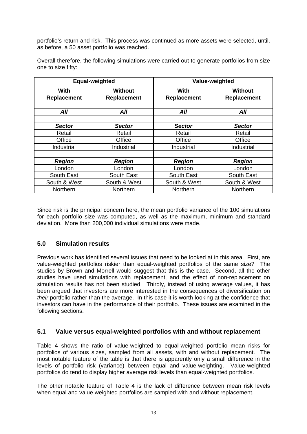portfolio's return and risk. This process was continued as more assets were selected, until, as before, a 50 asset portfolio was reached.

|                            | Equal-weighted                |                            | Value-weighted                |  |  |
|----------------------------|-------------------------------|----------------------------|-------------------------------|--|--|
| <b>With</b><br>Replacement | <b>Without</b><br>Replacement | With<br><b>Replacement</b> | <b>Without</b><br>Replacement |  |  |
| All                        | All                           | All                        | All                           |  |  |
| <b>Sector</b>              | <b>Sector</b>                 | <b>Sector</b>              | <b>Sector</b>                 |  |  |
| Retail                     | Retail                        | Retail                     | Retail                        |  |  |
| Office                     | Office                        | Office                     | Office                        |  |  |
| Industrial                 | Industrial                    | Industrial                 | Industrial                    |  |  |
|                            |                               |                            |                               |  |  |
| <b>Region</b>              | <b>Region</b>                 | <b>Region</b>              | <b>Region</b>                 |  |  |
| London                     | London                        | London                     | London                        |  |  |
| South East                 | South East                    | South East                 | South East                    |  |  |
| South & West               | South & West                  | South & West               | South & West                  |  |  |
| Northern                   | Northern                      | Northern                   | Northern                      |  |  |

Overall therefore, the following simulations were carried out to generate portfolios from size one to size fifty:

Since risk is the principal concern here, the mean portfolio variance of the 100 simulations for each portfolio size was computed, as well as the maximum, minimum and standard deviation. More than 200,000 individual simulations were made.

# **5.0 Simulation results**

Previous work has identified several issues that need to be looked at in this area. First, are value-weighted portfolios riskier than equal-weighted portfolios of the same size? The studies by Brown and Morrell would suggest that this is the case. Second, all the other studies have used simulations with replacement, and the effect of non-replacement on simulation results has not been studied. Thirdly, instead of using average values, it has been argued that investors are more interested in the consequences of diversification on *their* portfolio rather than the average. In this case it is worth looking at the confidence that investors can have in the performance of their portfolio. These issues are examined in the following sections.

### **5.1 Value versus equal-weighted portfolios with and without replacement**

Table 4 shows the ratio of value-weighted to equal-weighted portfolio mean risks for portfolios of various sizes, sampled from all assets, with and without replacement. The most notable feature of the table is that there is apparently only a small difference in the levels of portfolio risk (variance) between equal and value-weighting. Value-weighted portfolios do tend to display higher average risk levels than equal-weighted portfolios.

The other notable feature of Table 4 is the lack of difference between mean risk levels when equal and value weighted portfolios are sampled with and without replacement.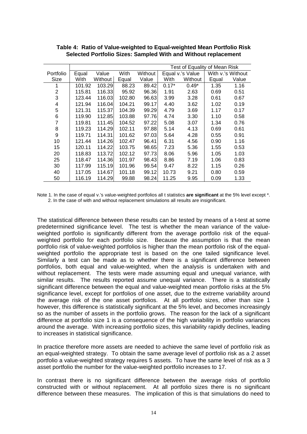|           | Test of Equality of Mean Risk |         |        |         |         |                  |       |                   |  |  |  |
|-----------|-------------------------------|---------|--------|---------|---------|------------------|-------|-------------------|--|--|--|
| Portfolio | Equal                         | Value   | With   | Without |         | Equal v.'s Value |       | With v.'s Without |  |  |  |
| Size      | With                          | Without | Equal  | Value   | With    | Without          | Equal | Value             |  |  |  |
|           | 101.92                        | 103.29  | 88.23  | 89.42   | $0.17*$ | $0.49*$          | 1.35  | 1.16              |  |  |  |
| 2         | 115.81                        | 116.33  | 95.92  | 96.36   | 1.91    | 2.63             | 0.69  | 0.51              |  |  |  |
| 3         | 123.44                        | 116.03  | 102.80 | 96.63   | 3.99    | 3.28             | 0.61  | 0.67              |  |  |  |
| 4         | 121.94                        | 116.04  | 104.21 | 99.17   | 4.40    | 3.62             | 1.02  | 0.19              |  |  |  |
| 5         | 121.31                        | 115.37  | 104.39 | 99.29   | 4.79    | 3.69             | 1.17  | 0.17              |  |  |  |
| 6         | 119.90                        | 112.85  | 103.88 | 97.76   | 4.74    | 3.30             | 1.10  | 0.58              |  |  |  |
|           | 119.81                        | 111.45  | 104.52 | 97.22   | 5.08    | 3.07             | 1.34  | 0.76              |  |  |  |
| 8         | 119.23                        | 114.29  | 102.11 | 97.88   | 5.14    | 4.13             | 0.69  | 0.61              |  |  |  |
| 9         | 119.71                        | 114.31  | 101.62 | 97.03   | 5.64    | 4.28             | 0.55  | 0.91              |  |  |  |
| 10        | 121.44                        | 114.26  | 102.47 | 96.41   | 6.31    | 4.56             | 0.90  | 1.16              |  |  |  |
| 15        | 120.11                        | 114.22  | 103.75 | 98.65   | 7.23    | 5.36             | 1.55  | 0.53              |  |  |  |
| 20        | 118.83                        | 113.72  | 102.12 | 97.73   | 8.06    | 5.96             | 1.05  | 1.03              |  |  |  |
| 25        | 118.47                        | 114.36  | 101.97 | 98.43   | 8.86    | 7.19             | 1.06  | 0.83              |  |  |  |
| 30        | 117.99                        | 115.19  | 101.96 | 99.54   | 9.47    | 8.22             | 1.15  | 0.26              |  |  |  |
| 40        | 117.05                        | 114.67  | 101.18 | 99.12   | 10.73   | 9.21             | 0.80  | 0.59              |  |  |  |
| 50        | 116.19                        | 114.29  | 99.88  | 98.24   | 11.25   | 9.95             | 0.09  | 1.33              |  |  |  |

**Table 4: Ratio of Value-weighted to Equal-weighted Mean Portfolio Risk Selected Portfolio Sizes: Sampled With and Without replacement**

Note 1. In the case of equal v.'s value-weighted portfolios all t statistics **are significant** at the 5% level except \*. 2. In the case of with and without replacement simulations all results are insignificant.

The statistical difference between these results can be tested by means of a t-test at some predetermined significance level. The test is whether the mean variance of the valueweighted portfolio is significantly different from the average portfolio risk of the equalweighted portfolio for each portfolio size. Because the assumption is that the mean portfolio risk of value-weighted portfolios is higher than the mean portfolio risk of the equalweighted portfolio the appropriate test is based on the one tailed significance level. Similarly a test can be made as to whether there is a significant difference between portfolios, both equal and value-weighted, when the analysis is undertaken with and without replacement. The tests were made assuming equal and unequal variance, with similar results. The results reported assume unequal variance. There is a statistically significant difference between the equal and value-weighted mean portfolio risks at the 5% significance level, except for portfolios of one asset, due to the extreme variability around the average risk of the one asset portfolios. At all portfolio sizes, other than size 1 however, this difference is statistically significant at the 5% level, and becomes increasingly so as the number of assets in the portfolio grows. The reason for the lack of a significant difference at portfolio size 1 is a consequence of the high variability in portfolio variances around the average. With increasing portfolio sizes, this variability rapidly declines, leading to increases in statistical significance.

In practice therefore more assets are needed to achieve the same level of portfolio risk as an equal-weighted strategy. To obtain the same average level of portfolio risk as a 2 asset portfolio a value-weighted strategy requires 5 assets. To have the same level of risk as a 3 asset portfolio the number for the value-weighted portfolio increases to 17.

In contrast there is no significant difference between the average risks of portfolio constructed with or without replacement. At all portfolio sizes there is no significant difference between these measures. The implication of this is that simulations do need to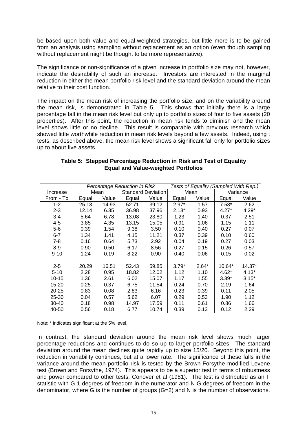be based upon both value and equal-weighted strategies, but little more is to be gained from an analysis using sampling without replacement as an option (even though sampling without replacement might be thought to be more representative).

The significance or non-significance of a given increase in portfolio size may not, however, indicate the desirability of such an increase. Investors are interested in the marginal reduction in either the mean portfolio risk level and the standard deviation around the mean relative to their cost function.

The impact on the mean risk of increasing the portfolio size, and on the variability around the mean risk, is demonstrated in Table 5. This shows that initially there is a large percentage fall in the mean risk level but only up to portfolio sizes of four to five assets (20 properties). After this point, the reduction in mean risk tends to diminish and the mean level shows little or no decline. This result is comparable with previous research which showed little worthwhile reduction in mean risk levels beyond a few assets. Indeed, using t tests, as described above, the mean risk level shows a significant fall only for portfolio sizes up to about five assets.

| Table 5: Stepped Percentage Reduction in Risk and Test of Equality |
|--------------------------------------------------------------------|
| <b>Equal and Value-weighted Portfolios</b>                         |
|                                                                    |

|           |       |       | Percentage Reduction in Risk |       | Tests of Equality (Sampled With Rep.) |         |         |          |
|-----------|-------|-------|------------------------------|-------|---------------------------------------|---------|---------|----------|
| Increase  |       | Mean  | <b>Standard Deviation</b>    |       |                                       | Mean    |         | Variance |
| From - To | Equal | Value | Equal                        | Value | Equal                                 | Value   | Equal   | Value    |
| $1 - 2$   | 25.13 | 14.93 | 52.71                        | 39.12 | $2.97*$                               | 1.57    | $7.53*$ | 2.62     |
| $2 - 3$   | 12.14 | 6.35  | 36.98                        | 37.96 | $2.13*$                               | 0.93    | $4.27*$ | $4.29*$  |
| $3 - 4$   | 5.64  | 6.78  | 13.08                        | 23.80 | 1.23                                  | 1.40    | 0.37    | 2.51     |
| $4 - 5$   | 3.85  | 4.35  | 13.15                        | 15.05 | 0.91                                  | 1.06    | 1.15    | 1.11     |
| $5-6$     | 0.39  | 1.54  | 9.38                         | 3.50  | 0.10                                  | 0.40    | 0.27    | 0.07     |
| $6 - 7$   | 1.34  | 1.41  | 4.15                         | 11.21 | 0.37                                  | 0.39    | 0.10    | 0.60     |
| $7 - 8$   | 0.16  | 0.64  | 5.73                         | 2.92  | 0.04                                  | 0.19    | 0.27    | 0.03     |
| $8-9$     | 0.90  | 0.50  | 6.17                         | 8.56  | 0.27                                  | 0.15    | 0.26    | 0.57     |
| $9 - 10$  | 1.24  | 0.19  | 8.22                         | 0.90  | 0.40                                  | 0.06    | 0.15    | 0.02     |
|           |       |       |                              |       |                                       |         |         |          |
| $2 - 5$   | 20.29 | 16.51 | 52.43                        | 59.85 | $3.79*$                               | $2.64*$ | 10.64*  | 14.37*   |
| $5 - 10$  | 2.28  | 0.95  | 18.82                        | 12.02 | 1.12                                  | 1.10    | $4.62*$ | $4.13*$  |
| $10 - 15$ | 1.36  | 2.61  | 6.02                         | 15.07 | 1.17                                  | 1.55    | $3.39*$ | $3.15*$  |
| $15 - 20$ | 0.25  | 0.37  | 6.75                         | 11.54 | 0.24                                  | 0.70    | 2.19    | 1.64     |
| 20-25     | 0.83  | 0.08  | 2.83                         | 6.16  | 0.23                                  | 0.39    | 0.11    | 2.05     |
| 25-30     | 0.04  | 0.57  | 5.62                         | 6.07  | 0.29                                  | 0.53    | 1.90    | 1.12     |
| $30 - 40$ | 0.18  | 0.98  | 14.97                        | 17.59 | 0.11                                  | 0.61    | 0.86    | 1.66     |
| 40-50     | 0.56  | 0.18  | 6.77                         | 10.74 | 0.39                                  | 0.13    | 0.12    | 2.29     |

Note: \* indicates significant at the 5% level.

In contrast, the standard deviation around the mean risk level shows much larger percentage reductions and continues to do so up to larger portfolio sizes. The standard deviation around the mean declines quite rapidly up to size 15/20. Beyond this point, the reduction in variability continues, but at a lower rate. The significance of these falls in the variance around the mean portfolio risk is tested by the Brown-Forsythe modified Levene test (Brown and Forsythe, 1974). This appears to be a superior test in terms of robustness and power compared to other tests; Conover et al (1981). The test is distributed as an F statistic with G-1 degrees of freedom in the numerator and N-G degrees of freedom in the denominator, where G is the number of groups (G=2) and N is the number of observations.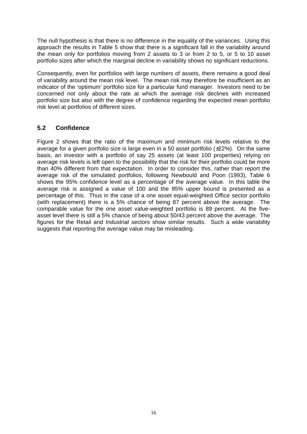The null hypothesis is that there is no difference in the equality of the variances. Using this approach the results in Table 5 show that there is a significant fall in the variability around the mean only for portfolios moving from 2 assets to 3 or from 2 to 5, or 5 to 10 asset portfolio sizes after which the marginal decline in variability shows no significant reductions.

Consequently, even for portfolios with large numbers of assets, there remains a good deal of variability around the mean risk level. The mean risk may therefore be insufficient as an indicator of the 'optimum' portfolio size for a particular fund manager. Investors need to be concerned not only about the rate at which the average risk declines with increased portfolio size but also with the degree of confidence regarding the expected mean portfolio risk level at portfolios of different sizes.

# **5.2 Confidence**

Figure 2 shows that the ratio of the maximum and minimum risk levels relative to the average for a given portfolio size is large even in a 50 asset portfolio  $(\pm 22\%)$ . On the same basis, an investor with a portfolio of say 25 assets (at least 100 properties) relying on average risk levels is left open to the possibility that the risk for their portfolio could be more than 40% different from that expectation. In order to consider this, rather than report the average risk of the simulated portfolios, following Newbould and Poon (1993), Table 6 shows the 95% confidence level as a percentage of the average value. In this table the average risk is assigned a value of 100 and the 95% upper bound is presented as a percentage of this. Thus in the case of a one asset equal-weighted Office sector portfolio (with replacement) there is a 5% chance of being 87 percent above the average. The comparable value for the one asset value-weighted portfolio is 89 percent. At the fiveasset level there is still a 5% chance of being about 50/43 percent above the average. The figures for the Retail and Industrial sectors show similar results. Such a wide variability suggests that reporting the average value may be misleading.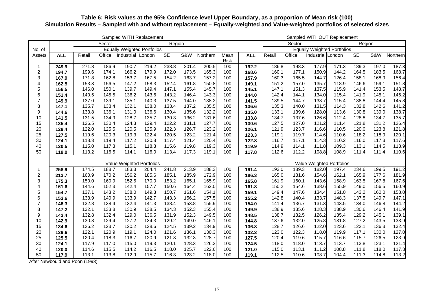### **Table 6: Risk values at the 95% Confidence level Upper Boundary, as a proportion of Mean risk (100) Simulation Results – Sampled with and without replacement – Equally-weighted and Value-weighted portfolios of selected sizes**

|                  | Sampled WITH Replacement |        |        |                   |                                    |           | Sampled WITHOUT Replacement |          |             |            |        |        |                   |                                    |        |       |          |
|------------------|--------------------------|--------|--------|-------------------|------------------------------------|-----------|-----------------------------|----------|-------------|------------|--------|--------|-------------------|------------------------------------|--------|-------|----------|
|                  |                          |        | Sector |                   |                                    | Region    |                             |          |             |            |        | Sector |                   |                                    | Region |       |          |
| No. of           |                          |        |        |                   | <b>Equally Weighted Portfolios</b> |           |                             |          |             |            |        |        |                   | <b>Equally Weighted Portfolios</b> |        |       |          |
| Assets           | <b>ALL</b>               | Retail | Office | Industrial London |                                    | <b>SE</b> | S&W                         | Northern | Mean        | <b>ALL</b> | Retail | Office | Industrial London |                                    | SE     | S&W   | Northern |
|                  |                          |        |        |                   |                                    |           |                             |          | <b>Risk</b> |            |        |        |                   |                                    |        |       |          |
| 1                | 249.9                    | 271.8  | 186.9  | 190.7             | 219.2                              | 238.8     | 201.4                       | 200.5    | 100         | 192.2      | 186.8  | 198.3  | 177.9             | 171.3                              | 189.3  | 197.0 | 187.3    |
| $\overline{c}$   | 194.7                    | 199.6  | 174.1  | 166.2             | 179.9                              | 172.0     | 173.5                       | 165.3    | 100         | 168.6      | 160.1  | 177.1  | 150.9             | 144.2                              | 164.5  | 183.5 | 168.7    |
| 3                | 167.9                    | 171.8  | 162.8  | 153.7             | 167.5                              | 154.2     | 163.7                       | 157.2    | 100         | 157.9      | 160.3  | 165.5  | 144.7             | 126.4                              | 158.1  | 168.9 | 156.4    |
| 4                | 162.5                    | 153.3  | 156.5  | 147.2             | 158.3                              | 152.4     | 161.8                       | 150.8    | 100         | 149.1      | 151.2  | 157.0  | 135.7             | 118.9                              | 146.6  | 159.1 | 151.8    |
| 5                | 156.5                    | 146.0  | 150.1  | 139.7             | 149.4                              | 147.1     | 155.4                       | 145.7    | 100         | 145.1      | 147.1  | 151.3  | 137.5             | 115.9                              | 141.4  | 153.5 | 148.7    |
| 6                | 151.4                    | 140.5  | 145.5  | 136.2             | 143.6                              | 143.2     | 146.4                       | 143.3    | 100         | 144.0      | 142.4  | 144.1  | 134.0             | 115.4                              | 141.9  | 145.1 | 146.2    |
| $\overline{7}$   | 149.9                    | 137.0  | 139.1  | 135.1             | 140.3                              | 137.5     | 144.0                       | 138.2    | 100         | 141.5      | 139.5  | 144.7  | 133.7             | 115.4                              | 138.8  | 144.4 | 145.8    |
| 8                | 147.1                    | 135.7  | 138.4  | 132.1             | 138.0                              | 133.4     | 137.2                       | 135.5    | 100         | 136.6      | 135.3  | 140.0  | 131.5             | 114.3                              | 132.8  | 142.6 | 141.2    |
| $\boldsymbol{9}$ | 144.6                    | 133.8  | 136.1  | 131.0             | 136.6                              | 130.4     | 135.6                       | 132.2    | 100         | 135.0      | 133.1  | 139.6  | 128.0             | 113.6                              | 130.8  | 139.0 | 138.7    |
| 10               | 141.5                    | 131.5  | 134.9  | 128.7             | 135.7                              | 130.3     | 136.2                       | 131.6    | 100         | 133.8      | 134.7  | 137.6  | 126.6             | 112.4                              | 128.8  | 134.7 | 135.7    |
| 15               | 135.4                    | 126.5  | 130.4  | 124.3             | 129.4                              | 122.2     | 131.1                       | 127.7    | 100         | 130.6      | 127.5  | 127.0  | 121.2             | 111.4                              | 121.8  | 131.2 | 126.4    |
| 20               | 129.4                    | 122.0  | 125.5  | 120.5             | 125.9                              | 122.3     | 126.7                       | 123.2    | 100         | 126.1      | 121.9  | 123.7  | 116.6             | 110.5                              | 120.0  | 123.8 | 121.8    |
| 25               | 127.5                    | 119.6  | 120.3  | 119.3             | 122.4                              | 120.5     | 123.2                       | 121.4    | 100         | 123.3      | 119.1  | 119.7  | 114.6             | 110.6                              | 118.2  | 118.9 | 120.1    |
| 30               | 124.1                    | 118.3  | 119.4  | 117.2             | 120.8                              | 117.4     | 121.4                       | 120.4    | 100         | 122.8      | 116.7  | 117.1  | 114.3             | 110.2                              | 116.0  | 117.3 | 117.6    |
| 40               | 120.5                    | 115.0  | 117.3  | 115.1             | 118.3                              | 115.6     | 119.8                       | 119.3    | 100         | 119.9      | 114.9  | 114.1  | 111.8             | 109.3                              | 113.1  | 114.5 | 113.9    |
| 50               | 119.0                    | 113.2  | 116.5  | 114.1             | 116.0                              | 113.4     | 117.3                       | 119.1    | 100         | 117.8      | 112.6  | 112.2  | 108.8             | 108.9                              | 111.4  | 111.4 | 110.6    |
|                  |                          |        |        |                   | Value Weighted Portfolios          |           |                             |          |             |            |        |        |                   | Value Weighted Portfolios          |        |       |          |
| 1                | 258.9                    | 174.5  | 188.7  | 183.3             | 204.4                              | 241.8     | 213.9                       | 188.3    | 100         | 191.4      | 193.0  | 189.3  | 182.0             | 197.4                              | 234.6  | 199.5 | 191.2    |
| $\overline{c}$   | 213.7                    | 160.9  | 170.2  | 156.2             | 185.6                              | 185.1     | 185.9                       | 172.9    | 100         | 186.3      | 165.0  | 181.6  | 154.6             | 162.1                              | 165.9  | 177.6 | 181.9    |
| 3                | 175.3                    | 150.0  | 160.9  | 152.5             | 170.0                              | 153.2     | 165.1                       | 165.9    | 100         | 165.8      | 161.9  | 160.1  | 143.6             | 158.9                              | 163.5  | 167.8 | 167.6    |
| 4                | 161.6                    | 144.6  | 152.3  | 142.4             | 157.7                              | 150.6     | 164.4                       | 162.0    | 100         | 161.8      | 150.2  | 154.6  | 138.6             | 155.9                              | 149.0  | 156.5 | 160.9    |
| 5                | 154.7                    | 137.1  | 143.2  | 138.0             | 149.3                              | 150.7     | 161.6                       | 154.1    | 100         | 159.1      | 149.4  | 147.6  | 134.4             | 151.0                              | 143.2  | 160.0 | 158.0    |
| 6                | 153.6                    | 133.9  | 140.9  | 133.9             | 142.7                              | 143.3     | 156.2                       | 157.5    | 100         | 155.2      | 142.8  | 140.4  | 133.7             | 148.3                              | 137.5  | 149.7 | 147.1    |
| $\overline{7}$   | 148.3                    | 132.8  | 138.4  | 132.4             | 141.3                              | 138.4     | 153.8                       | 155.9    | 100         | 154.0      | 141.4  | 136.7  | 131.3             | 143.5                              | 134.0  | 146.8 | 144.2    |
| 8                | 147.2                    | 132.1  | 133.8  | 130.9             | 138.5                              | 134.3     | 152.3                       | 155.4    | 100         | 149.9      | 138.9  | 135.6  | 128.3             | 138.9                              | 130.6  | 146.4 | 141.9    |
| 9                | 143.4                    | 132.8  | 132.4  | 129.0             | 136.5                              | 131.9     | 152.3                       | 149.5    | 100         | 148.5      | 138.7  | 132.5  | 126.2             | 135.4                              | 129.2  | 145.1 | 139.1    |
| 10               | 142.9                    | 130.8  | 129.4  | 127.2             | 134.3                              | 129.2     | 149.0                       | 146.1    | 100         | 144.8      | 137.6  | 132.0  | 125.8             | 131.8                              | 127.2  | 143.5 | 133.9    |
| 15               | 134.6                    | 126.2  | 123.7  | 120.2             | 128.6                              | 124.5     | 139.2                       | 134.9    | 100         | 136.8      | 128.7  | 126.6  | 122.0             | 123.6                              | 122.1  | 136.3 | 132.4    |
| 20               | 129.6                    | 122.1  | 120.9  | 119.1             | 124.0                              | 121.6     | 136.1                       | 130.3    | 100         | 132.3      | 123.0  | 122.3  | 118.0             | 119.9                              | 117.1  | 130.0 | 127.0    |
| 25               | 125.5                    | 120.4  | 118.3  | 116.7             | 120.9                              | 121.3     | 132.3                       | 128.7    | 100         | 127.5      | 120.4  | 119.6  | 115.7             | 116.6                              | 115.7  | 126.5 | 123.9    |
| 30               | 124.1                    | 117.9  | 117.0  | 115.0             | 119.3                              | 120.1     | 128.3                       | 126.3    | 100         | 124.5      | 118.0  | 118.0  | 113.7             | 113.7                              | 113.8  | 123.1 | 121.4    |
| 40               | 120.0                    | 114.6  | 115.5  | 114.2             | 116.5                              | 118.0     | 125.7                       | 122.6    | 100         | 121.0      | 115.0  | 113.1  | 111.2             | 108.8                              | 111.8  | 118.0 | 117.3    |
| 50               | 117.9                    | 113.1  | 113.8  | 112.9             | 115.7                              | 116.3     | 123.2                       | 118.0    | 100         | 119.1      | 112.5  | 110.6  | 108.7             | 104.4                              | 111.3  | 114.8 | 113.2    |
|                  |                          |        |        |                   |                                    |           |                             |          |             |            |        |        |                   |                                    |        |       |          |

After Newbould and Poon (1993)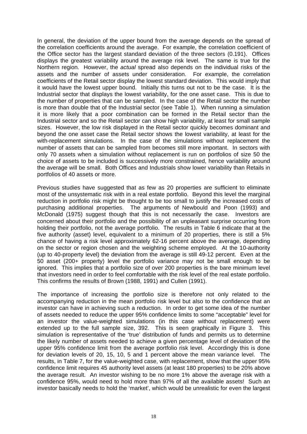In general, the deviation of the upper bound from the average depends on the spread of the correlation coefficients around the average. For example, the correlation coefficient of the Office sector has the largest standard deviation of the three sectors (0.191). Offices displays the greatest variability around the average risk level. The same is true for the Northern region. However, the *actual* spread also depends on the individual risks of the assets and the number of assets under consideration. For example, the correlation coefficients of the Retail sector display the lowest standard deviation. This would imply that it would have the lowest upper bound. Initially this turns out not to be the case. It is the Industrial sector that displays the lowest variability, for the one asset case. This is due to the number of properties that can be sampled. In the case of the Retail sector the number is more than double that of the Industrial sector (see Table 1). When running a simulation it is more likely that a poor combination can be formed in the Retail sector than the Industrial sector and so the Retail sector can show high variability, at least for small sample sizes. However, the low risk displayed in the Retail sector quickly becomes dominant and beyond the one asset case the Retail sector shows the lowest variability, at least for the with-replacement simulations. In the case of the simulations without replacement the number of assets that can be sampled from becomes still more important. In sectors with only 70 assets when a simulation without replacement is run on portfolios of size 50 the choice of assets to be included is successively more constrained, hence variability around the average will be small. Both Offices and Industrials show lower variability than Retails in portfolios of 40 assets or more.

Previous studies have suggested that as few as 20 properties are sufficient to eliminate most of the unsystematic risk with in a real estate portfolio. Beyond this level the marginal reduction in portfolio risk might be thought to be too small to justify the increased costs of purchasing additional properties. The arguments of Newbould and Poon (1993) and McDonald (1975) suggest though that this is not necessarily the case. Investors are concerned about their portfolio and the possibility of an unpleasant surprise occurring from holding their portfolio, not the average portfolio. The results in Table 6 indicate that at the five authority (asset) level, equivalent to a minimum of 20 properties, there is still a 5% chance of having a risk level approximately 62-16 percent above the average, depending on the sector or region chosen and the weighting scheme employed. At the 10-authority (up to 40-property level) the deviation from the average is still 49-12 percent. Even at the 50 asset (200+ property) level the portfolio variance may not be small enough to be ignored. This implies that a portfolio size of over 200 properties is the bare minimum level that investors need in order to feel comfortable with the risk level of the real estate portfolio. This confirms the results of Brown (1988, 1991) and Cullen (1991).

The importance of increasing the portfolio size is therefore not only related to the accompanying reduction in the mean portfolio risk level but also to the confidence that an investor can have in achieving such a reduction. In order to get some idea of the number of assets needed to reduce the upper 95% confidence limits to some "acceptable" level for an investor the value-weighted simulations (in this case without replacement) were extended up to the full sample size, 392. This is seen graphically in Figure 3. This simulation is representative of the 'true' distribution of funds and permits us to determine the likely number of assets needed to achieve a given percentage level of deviation of the upper 95% confidence limit from the average portfolio risk level. Accordingly this is done for deviation levels of 20, 15, 10, 5 and 1 percent above the mean variance level. The results, in Table 7, for the value-weighted case, with replacement, show that the upper 95% confidence limit requires 45 authority level assets (at least 180 properties) to be 20% above the average result. An investor wishing to be no more 1% above the average risk with a confidence 95%, would need to hold more than 97% of all the available assets! Such an investor basically needs to hold the 'market', which would be unrealistic for even the largest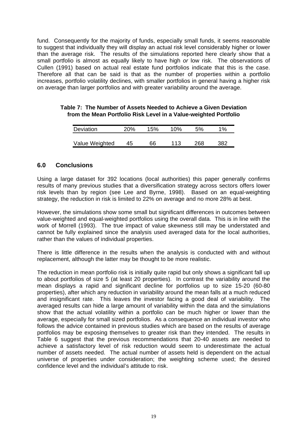fund. Consequently for the majority of funds, especially small funds, it seems reasonable to suggest that individually they will display an actual risk level considerably higher or lower than the average risk. The results of the simulations reported here clearly show that a small portfolio is almost as equally likely to have high *or* low risk. The observations of Cullen (1991) based on actual real estate fund portfolios indicate that this is the case. Therefore all that can be said is that as the number of properties within a portfolio increases, portfolio volatility declines, with smaller portfolios in general having a higher risk on average than larger portfolios and with greater variability around the average.

#### **Table 7: The Number of Assets Needed to Achieve a Given Deviation from the Mean Portfolio Risk Level in a Value-weighted Portfolio**

| Deviation      | 20% | 15% | 10% | 5%  | $1\%$ |
|----------------|-----|-----|-----|-----|-------|
| Value Weighted | 45  | 66  | 113 | 268 | 382   |

## **6.0 Conclusions**

Using a large dataset for 392 locations (local authorities) this paper generally confirms results of many previous studies that a diversification strategy across sectors offers lower risk levels than by region (see Lee and Byrne, 1998). Based on an equal-weighting strategy, the reduction in risk is limited to 22% on average and no more 28% at best.

However, the simulations show some small but significant differences in outcomes between value-weighted and equal-weighted portfolios using the overall data. This is in line with the work of Morrell (1993). The true impact of value skewness still may be understated and cannot be fully explained since the analysis used averaged data for the local authorities, rather than the values of individual properties.

There is little difference in the results when the analysis is conducted with and without replacement, although the latter may be thought to be more realistic.

The reduction in mean portfolio risk is initially quite rapid but only shows a significant fall up to about portfolios of size 5 (at least 20 properties). In contrast the variability around the mean displays a rapid and significant decline for portfolios up to size 15-20 (60-80 properties), after which any reduction in variability around the mean falls at a much reduced and insignificant rate. This leaves the investor facing a good deal of variability. The averaged results can hide a large amount of variability within the data and the simulations show that the actual volatility within a portfolio can be much higher or lower than the average, especially for small sized portfolios. As a consequence an individual investor who follows the advice contained in previous studies which are based on the results of average portfolios may be exposing themselves to greater risk than they intended. The results in Table 6 suggest that the previous recommendations that 20-40 assets are needed to achieve a satisfactory level of risk reduction would seem to underestimate the actual number of assets needed. The actual number of assets held is dependent on the actual universe of properties under consideration; the weighting scheme used; the desired confidence level and the individual's attitude to risk.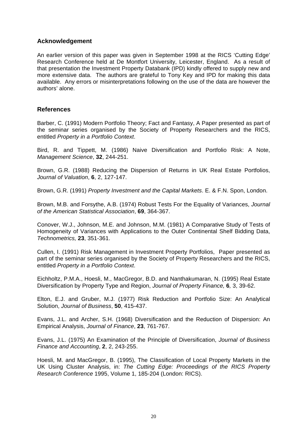### **Acknowledgement**

An earlier version of this paper was given in September 1998 at the RICS 'Cutting Edge' Research Conference held at De Montfort University, Leicester, England. As a result of that presentation the Investment Property Databank (IPD) kindly offered to supply new and more extensive data. The authors are grateful to Tony Key and IPD for making this data available. Any errors or misinterpretations following on the use of the data are however the authors' alone.

### **References**

Barber, C. (1991) Modern Portfolio Theory; Fact and Fantasy, A Paper presented as part of the seminar series organised by the Society of Property Researchers and the RICS, entitled *Property in a Portfolio Context*.

Bird, R. and Tippett, M. (1986) Naive Diversification and Portfolio Risk: A Note, *Management Science*, **32**, 244-251.

Brown, G.R. (1988) Reducing the Dispersion of Returns in UK Real Estate Portfolios, *Journal of Valuation*, **6**, 2, 127-147.

Brown, G.R. (1991) *Property Investment and the Capital Markets*. E. & F.N. Spon, London.

Brown, M.B. and Forsythe, A.B. (1974) Robust Tests For the Equality of Variances, *Journal of the American Statistical Association*, **69**, 364-367.

Conover, W.J., Johnson, M.E. and Johnson, M.M. (1981) A Comparative Study of Tests of Homogeneity of Variances with Applications to the Outer Continental Shelf Bidding Data, *Technometrics,* **23**, 351-361.

Cullen, I. (1991) Risk Management in Investment Property Portfolios, Paper presented as part of the seminar series organised by the Society of Property Researchers and the RICS, entitled *Property in a Portfolio Context*.

Eichholtz, P.M.A., Hoesli, M., MacGregor, B.D. and Nanthakumaran, N. (1995) Real Estate Diversification by Property Type and Region, *Journal of Property Finance,* **6***,* 3, 39-62.

Elton, E.J. and Gruber, M.J. (1977) Risk Reduction and Portfolio Size: An Analytical Solution, *Journal of Business*, **50**, 415-437.

Evans, J.L. and Archer, S.H. (1968) Diversification and the Reduction of Dispersion: An Empirical Analysis, *Journal of Finance*, **23**, 761-767.

Evans, J.L. (1975) An Examination of the Principle of Diversification, *Journal of Business Finance and Accounting*, **2**, 2, 243-255.

Hoesli, M. and MacGregor, B. (1995), The Classification of Local Property Markets in the UK Using Cluster Analysis, in: *The Cutting Edge: Proceedings of the RICS Property Research Conference* 1995, Volume 1, 185-204 (London: RICS).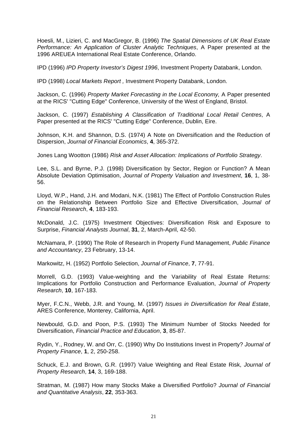Hoesli, M., Lizieri, C. and MacGregor, B. (1996) *The Spatial Dimensions of UK Real Estate Performance: An Application of Cluster Analytic Techniques*, A Paper presented at the 1996 AREUEA International Real Estate Conference, Orlando.

IPD (1996) *IPD Property Investor's Digest 1996*, Investment Property Databank, London.

IPD (1998) *Local Markets Report ,* Investment Property Databank, London.

Jackson, C. (1996) *Property Market Forecasting in the Local Economy,* A Paper presented at the RICS' "Cutting Edge" Conference, University of the West of England, Bristol.

Jackson, C. (1997) *Establishing A Classification of Traditional Local Retail Centres*, A Paper presented at the RICS' "Cutting Edge" Conference, Dublin, Eire.

Johnson, K.H. and Shannon, D.S. (1974) A Note on Diversification and the Reduction of Dispersion, *Journal of Financial Economics*, **4**, 365-372.

Jones Lang Wootton (1986) *Risk and Asset Allocation: Implications of Portfolio Strategy*.

Lee, S.L. and Byrne, P.J. (1998) Diversification by Sector, Region or Function? A Mean Absolute Deviation Optimisation, *Journal of Property Valuation and Investment*, **16**, 1, 38- 56.

Lloyd, W.P., Hand, J.H. and Modani, N.K. (1981) The Effect of Portfolio Construction Rules on the Relationship Between Portfolio Size and Effective Diversification, *Journal of Financial Research*, **4**, 183-193.

McDonald, J.C. (1975) Investment Objectives: Diversification Risk and Exposure to Surprise, *Financial Analysts Journal*, **31**, 2, March-April, 42-50.

McNamara, P. (1990) The Role of Research in Property Fund Management, *Public Finance and Accountancy*, 23 February, 13-14.

Markowitz, H. (1952) Portfolio Selection, *Journal of Finance*, **7**, 77-91.

Morrell, G.D. (1993) Value-weighting and the Variability of Real Estate Returns: Implications for Portfolio Construction and Performance Evaluation, *Journal of Property Research*, **10**, 167-183.

Myer, F.C.N., Webb, J.R. and Young, M. (1997) *Issues in Diversification for Real Estate*, ARES Conference, Monterey, California, April.

Newbould, G.D. and Poon, P.S. (1993) The Minimum Number of Stocks Needed for Diversification, *Financial Practice and Education*, **3**, 85-87.

Rydin, Y., Rodney, W. and Orr, C. (1990) Why Do Institutions Invest in Property? *Journal of Property Finance*, **1**, 2, 250-258.

Schuck, E.J. and Brown, G.R. (1997) Value Weighting and Real Estate Risk, *Journal of Property Research*, **14**, 3, 169-188.

Stratman, M. (1987) How many Stocks Make a Diversified Portfolio? *Journal of Financial and Quantitative Analysis*, **22**, 353-363.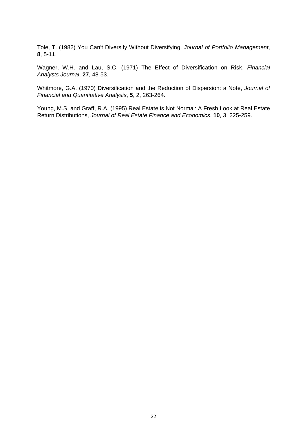Tole, T. (1982) You Can't Diversify Without Diversifying, *Journal of Portfolio Management*, **8**, 5-11.

Wagner, W.H. and Lau, S.C. (1971) The Effect of Diversification on Risk, *Financial Analysts Journal*, **27**, 48-53.

Whitmore, G.A. (1970) Diversification and the Reduction of Dispersion: a Note, *Journal of Financial and Quantitative Analysis*, **5**, 2, 263-264.

Young, M.S. and Graff, R.A. (1995) Real Estate is Not Normal: A Fresh Look at Real Estate Return Distributions, *Journal of Real Estate Finance and Economics*, **10**, 3, 225-259.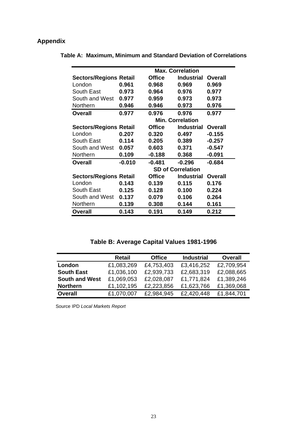# **Appendix**

|                               | <b>Max. Correlation</b> |               |                          |          |  |  |  |  |
|-------------------------------|-------------------------|---------------|--------------------------|----------|--|--|--|--|
| <b>Sectors/Regions Retail</b> |                         | <b>Office</b> | <b>Industrial</b>        | Overall  |  |  |  |  |
| London                        | 0.961                   | 0.968         | 0.969                    | 0.969    |  |  |  |  |
| South East                    | 0.973                   | 0.964         | 0.976                    | 0.977    |  |  |  |  |
| South and West                | 0.977                   | 0.959         | 0.973                    | 0.973    |  |  |  |  |
| Northern                      | 0.946                   | 0.946         | 0.973                    | 0.976    |  |  |  |  |
| <b>Overall</b>                | 0.977                   | 0.976         | 0.976                    | 0.977    |  |  |  |  |
|                               |                         |               | <b>Min. Correlation</b>  |          |  |  |  |  |
| <b>Sectors/Regions Retail</b> |                         | <b>Office</b> | <b>Industrial</b>        | Overall  |  |  |  |  |
| London                        | 0.207                   | 0.320         | 0.497                    | $-0.155$ |  |  |  |  |
| South East                    | 0.114                   | 0.205         | 0.389                    | $-0.257$ |  |  |  |  |
| South and West                | 0.057                   | 0.603         | 0.371                    | $-0.547$ |  |  |  |  |
| Northern                      | 0.109                   | $-0.188$      | 0.368                    | $-0.091$ |  |  |  |  |
| <b>Overall</b>                | $-0.010$                | $-0.481$      | $-0.296$                 | $-0.684$ |  |  |  |  |
|                               |                         |               | <b>SD of Correlation</b> |          |  |  |  |  |
| <b>Sectors/Regions Retail</b> |                         | <b>Office</b> | <b>Industrial</b>        | Overall  |  |  |  |  |
| London                        | 0.143                   | 0.139         | 0.115                    | 0.176    |  |  |  |  |
| South East                    | 0.125                   | 0.128         | 0.100                    | 0.224    |  |  |  |  |
| South and West                | 0.137                   | 0.079         | 0.106                    | 0.264    |  |  |  |  |
| Northern                      | 0.139                   | 0.308         | 0.144                    | 0.161    |  |  |  |  |
| Overall                       | 0.143                   | 0.191         | 0.149                    | 0.212    |  |  |  |  |

**Table A: Maximum, Minimum and Standard Deviation of Correlations**

**Table B: Average Capital Values 1981-1996**

|                       | Retail     | <b>Office</b> | <b>Industrial</b> | <b>Overall</b> |
|-----------------------|------------|---------------|-------------------|----------------|
| London                | £1,083,269 | £4,753,403    | £3,416,252        | £2,709,954     |
| <b>South East</b>     | £1,036,100 | £2,939,733    | £2,683,319        | £2,088,665     |
| <b>South and West</b> | £1,069,053 | £2,028,087    | £1,771,824        | £1,389,246     |
| <b>Northern</b>       | £1,102,195 | £2,223,856    | £1,623,766        | £1,369,068     |
| <b>Overall</b>        | £1,070,007 | £2,984,945    | £2,420,448        | £1,844,701     |

Source IPD *Local Markets Report*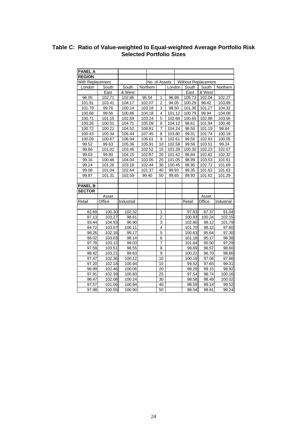### **Table C: Ratio of Value-weighted to Equal-weighted Average Portfolio Risk Selected Portfolio Sizes**

| <b>PANEL A</b>   |        |            |          |               |                |        |        |                     |            |
|------------------|--------|------------|----------|---------------|----------------|--------|--------|---------------------|------------|
| <b>REGION</b>    |        |            |          |               |                |        |        |                     |            |
| With Replacement |        |            |          | No. of Assets |                |        |        | Without Replacement |            |
| London           | South  | South      | Northern |               |                | London | South  | South               | Northern   |
|                  | East   | & West     |          |               |                |        | East   | & West              |            |
| 96.05            | 102.71 | 102.86     |          | 95.54         | 1              | 96.99  | 105.73 | 102.04              | 102.27     |
| 101.91           | 103.41 | 104.17     |          | 102.07        | $\overline{2}$ | 94.05  | 100.29 | 98.42               | 103.89     |
| 101.79           | 99.76  | 100.14     |          | 103.18        | 3              | 98.50  | 101.36 | 101.27              | 104.32     |
| 100.68           | 99.56  | 100.86     |          | 104.18        | $\overline{4}$ | 101.12 | 100.79 | 99.94               | 104.08     |
| 100.71           | 101.15 | 102.69     |          | 103.24        | 5              | 102.68 | 100.65 | 102.88              | 103.56     |
| 100.26           | 100.01 | 104.71     |          | 105.09        | 6              | 104.12 | 98.61  | 101.94              | 100.46     |
| 100.72           | 100.21 | 104.52     |          | 106.81        | 7              | 104.24 | 98.50  | 101.19              | 99.84      |
| 100.43           | 100.34 | 106.44     |          | 107.45        | 8              | 103.80 | 99.31  | 101.74              | 100.19     |
| 100.09           | 100.67 | 106.94     |          | 106.61        | 9              | 102.61 | 99.56  | 102.63              | 100.05     |
| 99.52            | 99.63  | 105.36     |          | 105.91        | 10             | 102.58 | 99.56  | 103.51              | 99.24      |
| 99.66            | 101.01 | 103.46     |          | 102.52        | 15             | 101.28 | 100.30 | 102.23              | 102.67     |
| 99.03            | 99.80  | 104.15     |          | 102.87        | 20             | 101.42 | 98.84  | 102.82              | 102.32     |
| 99.16            | 100.46 | 104.04     |          | 103.05        | 25             | 101.05 | 98.99  | 103.53              | 101.61     |
| 99.24            | 101.26 | 103.18     |          | 102.44        |                | 100.45 | 98.95  | 102.72              | 101.69     |
| 99.08            | 101.04 | 102.64     |          | 101.37        |                | 99.93  | 99.35  | 101.63              | 101.63     |
| 99.87            | 101.31 | 102.59     |          | 99.40         |                | 99.65  | 99.93  | 101.62              | 101.29     |
|                  |        |            |          |               |                |        |        |                     |            |
| <b>PANEL B</b>   |        |            |          |               |                |        |        |                     |            |
| <b>SECTOR</b>    |        |            |          |               |                |        |        |                     |            |
|                  | Asset  |            |          |               |                |        |        | Asset               |            |
| Retail           | Office | Industrial |          |               |                |        | Retail | Office              | Industrial |
|                  |        |            |          |               |                |        |        |                     |            |
| 82.69            | 100.30 | 102.32     |          |               | 1              |        | 97.83  | 87.37               | 91.04      |
| 87.13            | 103.27 | 98.61      |          |               | $\overline{c}$ |        | 100.93 | 100.24              | 102.15     |
| 93.44            | 104.93 | 96.90      |          |               | 3              |        | 102.80 | 98.12               | 101.79     |
| 94.72            | 103.07 | 100.11     |          |               | $\overline{4}$ |        | 101.70 | 98.12               | 97.60      |
| 98.26            | 102.16 | 99.17      |          |               | 5              |        | 100.63 | 95.64               | 97.30      |
| 98.02            | 103.03 | 98.14      |          |               | $\overline{6}$ |        | 101.18 | 95.17               | 98.38      |
| 97.78            | 103.12 | 99.03      |          |               | 7              |        | 101.64 | 95.50               | 97.29      |
| 97.59            | 103.51 | 98.55      |          |               | 8              |        | 99.69  | 96.57               | 98.60      |
| 98.42            | 103.21 | 99.63      |          |               | 9              |        | 100.22 | 96.70               | 98.66      |
| 97.47            | 102.36 | 100.12     |          |               | 10             |        | 100.19 | 97.06               | 97.86      |
| 97.20            | 102.18 | 100.94     |          |               | 15             |        | 99.52  | 97.65               | 99.31      |
| 96.99            | 102.46 | 100.06     |          |               | 20             |        | 98.28  | 99.15               | 98.92      |
| 97.91            | 102.39 | 100.83     |          |               | 25             |        | 97.54  | 98.74               | 100.16     |
| 98.47            | 102.08 | 100.24     |          |               | 30             |        | 98.58  | 98.49               | 100.02     |
| 97.57            | 101.06 | 100.64     |          |               | 40             |        | 98.59  | 99.14               | 99.52      |
| 97.98            | 100.55 | 100.90     |          |               | 50             |        | 98.54  | 98.81               | 99.24      |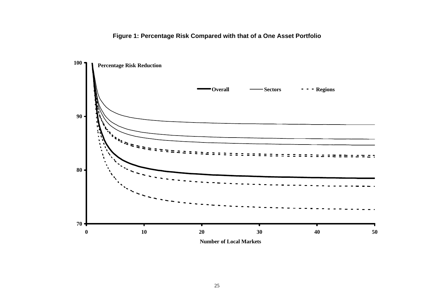# **Figure 1: Percentage Risk Compared with that of a One Asset Portfolio**

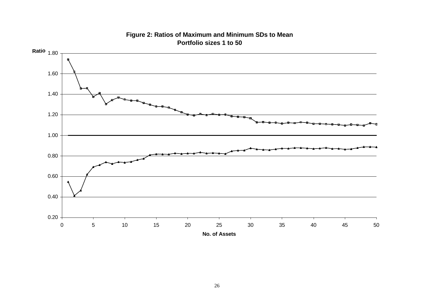

## **Figure 2: Ratios of Maximum and Minimum SDs to Mean Portfolio sizes 1 to 50**